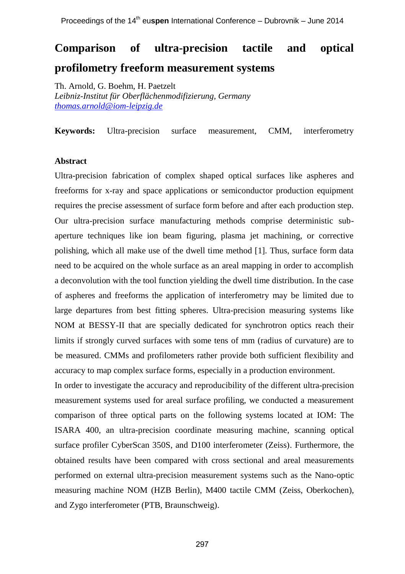# **Comparison of ultra-precision tactile and optical profilometry freeform measurement systems**

Th. Arnold, G. Boehm, H. Paetzelt *Leibniz-Institut für Oberflächenmodifizierung, Germany [thomas.arnold@iom-leipzig.de](mailto:thomas.arnold@iom-leipzig.de)*

**Keywords:** Ultra-precision surface measurement, CMM, interferometry

# **Abstract**

Ultra-precision fabrication of complex shaped optical surfaces like aspheres and freeforms for x-ray and space applications or semiconductor production equipment requires the precise assessment of surface form before and after each production step. Our ultra-precision surface manufacturing methods comprise deterministic subaperture techniques like ion beam figuring, plasma jet machining, or corrective polishing, which all make use of the dwell time method [1]. Thus, surface form data need to be acquired on the whole surface as an areal mapping in order to accomplish a deconvolution with the tool function yielding the dwell time distribution. In the case of aspheres and freeforms the application of interferometry may be limited due to large departures from best fitting spheres. Ultra-precision measuring systems like NOM at BESSY-II that are specially dedicated for synchrotron optics reach their limits if strongly curved surfaces with some tens of mm (radius of curvature) are to be measured. CMMs and profilometers rather provide both sufficient flexibility and accuracy to map complex surface forms, especially in a production environment.

In order to investigate the accuracy and reproducibility of the different ultra-precision measurement systems used for areal surface profiling, we conducted a measurement comparison of three optical parts on the following systems located at IOM: The ISARA 400, an ultra-precision coordinate measuring machine, scanning optical surface profiler CyberScan 350S, and D100 interferometer (Zeiss). Furthermore, the obtained results have been compared with cross sectional and areal measurements performed on external ultra-precision measurement systems such as the Nano-optic measuring machine NOM (HZB Berlin), M400 tactile CMM (Zeiss, Oberkochen), and Zygo interferometer (PTB, Braunschweig).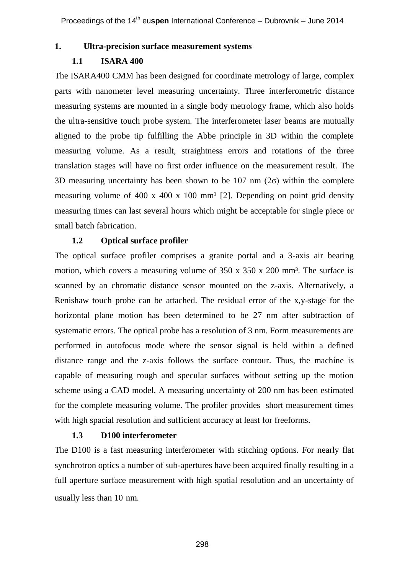# **1. Ultra-precision surface measurement systems**

# **1.1 ISARA 400**

The ISARA400 CMM has been designed for coordinate metrology of large, complex parts with nanometer level measuring uncertainty. Three interferometric distance measuring systems are mounted in a single body metrology frame, which also holds the ultra-sensitive touch probe system. The interferometer laser beams are mutually aligned to the probe tip fulfilling the Abbe principle in 3D within the complete measuring volume. As a result, straightness errors and rotations of the three translation stages will have no first order influence on the measurement result. The 3D measuring uncertainty has been shown to be 107 nm  $(2\sigma)$  within the complete measuring volume of 400 x 400 x 100 mm<sup>3</sup> [2]. Depending on point grid density measuring times can last several hours which might be acceptable for single piece or small batch fabrication.

#### **1.2 Optical surface profiler**

The optical surface profiler comprises a granite portal and a 3-axis air bearing motion, which covers a measuring volume of  $350 \times 350 \times 200$  mm<sup>3</sup>. The surface is scanned by an chromatic distance sensor mounted on the z-axis. Alternatively, a Renishaw touch probe can be attached. The residual error of the x,y-stage for the horizontal plane motion has been determined to be 27 nm after subtraction of systematic errors. The optical probe has a resolution of 3 nm. Form measurements are performed in autofocus mode where the sensor signal is held within a defined distance range and the z-axis follows the surface contour. Thus, the machine is capable of measuring rough and specular surfaces without setting up the motion scheme using a CAD model. A measuring uncertainty of 200 nm has been estimated for the complete measuring volume. The profiler provides short measurement times with high spacial resolution and sufficient accuracy at least for freeforms.

#### **1.3 D100 interferometer**

The D100 is a fast measuring interferometer with stitching options. For nearly flat synchrotron optics a number of sub-apertures have been acquired finally resulting in a full aperture surface measurement with high spatial resolution and an uncertainty of usually less than 10 nm.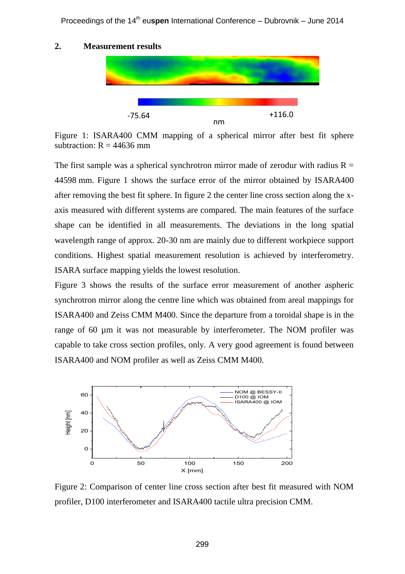Proceedings of the 14<sup>th</sup> euspen International Conference - Dubrovnik - June 2014

# **2. Measurement results**

-75.64

Figure 1: ISARA400 CMM mapping of a spherical mirror after best fit sphere subtraction:  $R = 44636$  mm

nm

+116.0

The first sample was a spherical synchrotron mirror made of zerodur with radius  $R =$ 44598 mm. Figure 1 shows the surface error of the mirror obtained by ISARA400 after removing the best fit sphere. In figure 2 the center line cross section along the xaxis measured with different systems are compared. The main features of the surface shape can be identified in all measurements. The deviations in the long spatial wavelength range of approx. 20-30 nm are mainly due to different workpiece support conditions. Highest spatial measurement resolution is achieved by interferometry. ISARA surface mapping yields the lowest resolution.

Figure 3 shows the results of the surface error measurement of another aspheric synchrotron mirror along the centre line which was obtained from areal mappings for ISARA400 and Zeiss CMM M400. Since the departure from a toroidal shape is in the range of 60 um it was not measurable by interferometer. The NOM profiler was capable to take cross section profiles, only. A very good agreement is found between ISARA400 and NOM profiler as well as Zeiss CMM M400.



Figure 2: Comparison of center line cross section after best fit measured with NOM profiler, D100 interferometer and ISARA400 tactile ultra precision CMM.